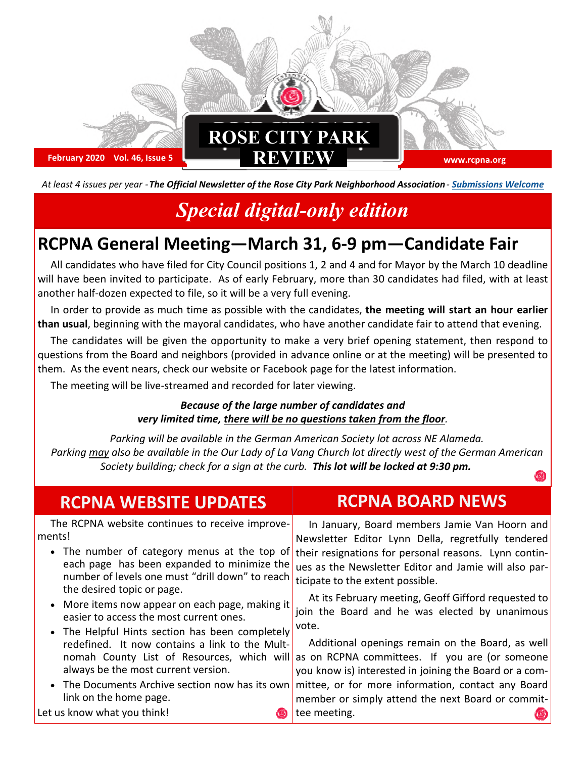

*At least 4 issues per year - The Official Newsletter of the Rose City Park Neighborhood Association - Submissions Welcome*

# *Special digital-only edition*

# **RCPNA General Meeting—March 31, 6-9 pm—Candidate Fair**

All candidates who have filed for City Council positions 1, 2 and 4 and for Mayor by the March 10 deadline will have been invited to participate. As of early February, more than 30 candidates had filed, with at least another half-dozen expected to file, so it will be a very full evening.

In order to provide as much time as possible with the candidates, **the meeting will start an hour earlier than usual**, beginning with the mayoral candidates, who have another candidate fair to attend that evening.

The candidates will be given the opportunity to make a very brief opening statement, then respond to questions from the Board and neighbors (provided in advance online or at the meeting) will be presented to them. As the event nears, check our website or Facebook page for the latest information.

The meeting will be live-streamed and recorded for later viewing.

#### *Because of the large number of candidates and very limited time, there will be no questions taken from the floor.*

*Parking will be available in the German American Society lot across NE Alameda. Parking may also be available in the Our Lady of La Vang Church lot directly west of the German American Society building; check for a sign at the curb. This lot will be locked at 9:30 pm.* 

| The RCPNA website continues to receive improve-<br>ments!<br>• The number of category menus at the top of                                                                                                                                                                                                                                                                                                                                                                                                                                                                                   | <b>RCPNA WEBSITE UPDATES</b>                | <b>RCPNA BOARD NEWS</b>                                                                                                                                                                                                                                                                                                                                                                                                                                                                                                                                 |
|---------------------------------------------------------------------------------------------------------------------------------------------------------------------------------------------------------------------------------------------------------------------------------------------------------------------------------------------------------------------------------------------------------------------------------------------------------------------------------------------------------------------------------------------------------------------------------------------|---------------------------------------------|---------------------------------------------------------------------------------------------------------------------------------------------------------------------------------------------------------------------------------------------------------------------------------------------------------------------------------------------------------------------------------------------------------------------------------------------------------------------------------------------------------------------------------------------------------|
| number of levels one must "drill down" to reach<br>ticipate to the extent possible.<br>the desired topic or page.<br>• More items now appear on each page, making it<br>easier to access the most current ones.<br>vote.<br>• The Helpful Hints section has been completely<br>redefined. It now contains a link to the Mult-<br>nomah County List of Resources, which will as on RCPNA committees. If you are (or someone<br>always be the most current version.<br>The Documents Archive section now has its own<br>link on the home page.<br>Let us know what you think!<br>tee meeting. | each page has been expanded to minimize the | In January, Board members Jamie Van Hoorn and<br>Newsletter Editor Lynn Della, regretfully tendered<br>their resignations for personal reasons. Lynn contin-<br>ues as the Newsletter Editor and Jamie will also par-<br>At its February meeting, Geoff Gifford requested to<br>join the Board and he was elected by unanimous<br>Additional openings remain on the Board, as well<br>you know is) interested in joining the Board or a com-<br>mittee, or for more information, contact any Board<br>member or simply attend the next Board or commit- |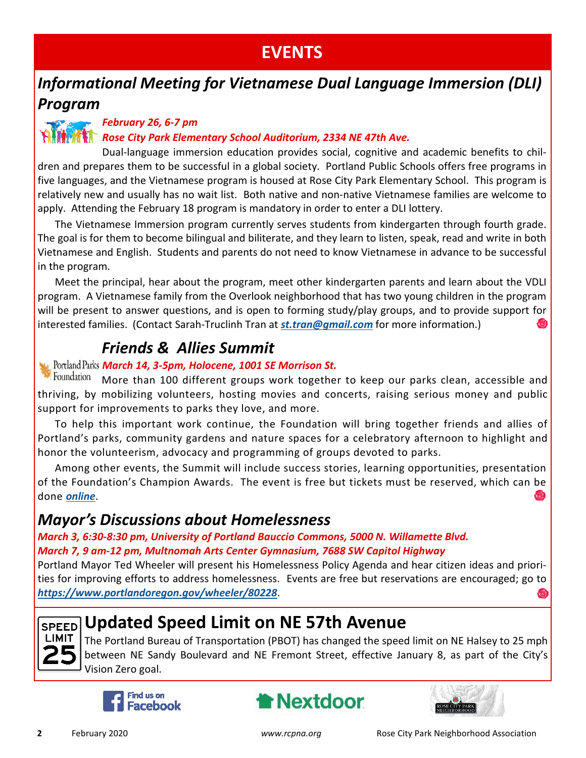# **EVENTS**

### *Informational Meeting for Vietnamese Dual Language Immersion (DLI) Program*

#### *February 26, 6-7 pm*

#### *Rose City Park Elementary School Auditorium, 2334 NE 47th Ave.*

Dual-language immersion education provides social, cognitive and academic benefits to children and prepares them to be successful in a global society. Portland Public Schools offers free programs in five languages, and the Vietnamese program is housed at Rose City Park Elementary School. This program is relatively new and usually has no wait list. Both native and non-native Vietnamese families are welcome to apply. Attending the February 18 program is mandatory in order to enter a DLI lottery.

The Vietnamese Immersion program currently serves students from kindergarten through fourth grade. The goal is for them to become bilingual and biliterate, and they learn to listen, speak, read and write in both Vietnamese and English. Students and parents do not need to know Vietnamese in advance to be successful in the program.

Meet the principal, hear about the program, meet other kindergarten parents and learn about the VDLI program. A Vietnamese family from the Overlook neighborhood that has two young children in the program will be present to answer questions, and is open to forming study/play groups, and to provide support for interested families. (Contact Sarah-Truclinh Tran at *st.tran@gmail.com* for more information.)

### *Friends & Allies Summit*

#### *March 14, 3-5pm, Holocene, 1001 SE Morrison St.*

Foundation More than 100 different groups work together to keep our parks clean, accessible and thriving, by mobilizing volunteers, hosting movies and concerts, raising serious money and public support for improvements to parks they love, and more.

To help this important work continue, the Foundation will bring together friends and allies of Portland's parks, community gardens and nature spaces for a celebratory afternoon to highlight and honor the volunteerism, advocacy and programming of groups devoted to parks.

Among other events, the Summit will include success stories, learning opportunities, presentation of the Foundation's Champion Awards. The event is free but tickets must be reserved, which can be done *online*.

#### *Mayor's Discussions about Homelessness*

*March 3, 6:30-8:30 pm, University of Portland Bauccio Commons, 5000 N. Willamette Blvd. March 7, 9 am-12 pm, Multnomah Arts Center Gymnasium, 7688 SW Capitol Highway*

Portland Mayor Ted Wheeler will present his Homelessness Policy Agenda and hear citizen ideas and priorities for improving efforts to address homelessness. Events are free but reservations are encouraged; go to *https://www.portlandoregon.gov/wheeler/80228*.



### **Updated Speed Limit on NE 57th Avenue**

The Portland Bureau of Transportation (PBOT) has changed the speed limit on NE Halsey to 25 mph between NE Sandy Boulevard and NE Fremont Street, effective January 8, as part of the City's Vision Zero goal.





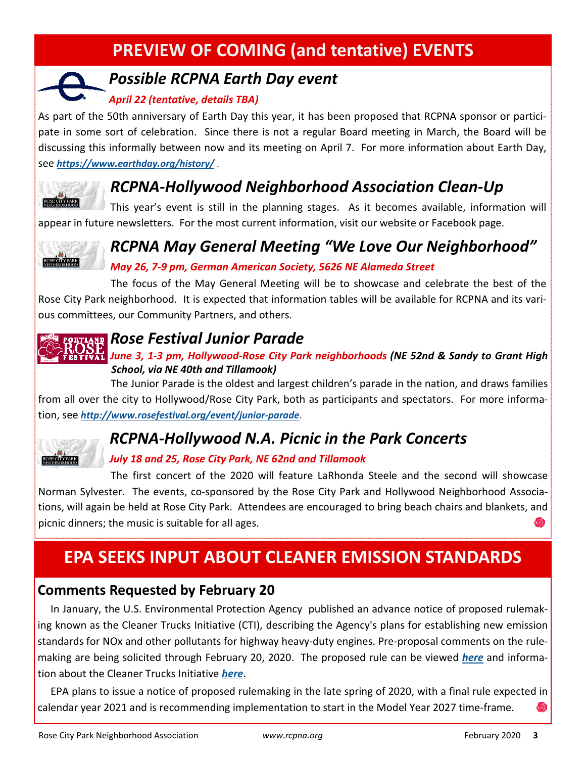# **PREVIEW OF COMING (and tentative) EVENTS**

### *Possible RCPNA Earth Day event*

#### *April 22 (tentative, details TBA)*

As part of the 50th anniversary of Earth Day this year, it has been proposed that RCPNA sponsor or participate in some sort of celebration. Since there is not a regular Board meeting in March, the Board will be discussing this informally between now and its meeting on April 7. For more information about Earth Day, see *https://www.earthday.org/history/* .



### *RCPNA-Hollywood Neighborhood Association Clean-Up*

This year's event is still in the planning stages. As it becomes available, information will appear in future newsletters. For the most current information, visit our website or Facebook page.



# *RCPNA May General Meeting "We Love Our Neighborhood"*

#### *May 26, 7-9 pm, German American Society, 5626 NE Alameda Street*

The focus of the May General Meeting will be to showcase and celebrate the best of the Rose City Park neighborhood. It is expected that information tables will be available for RCPNA and its various committees, our Community Partners, and others.

### *Rose Festival Junior Parade*

#### *June 3, 1-3 pm, Hollywood-Rose City Park neighborhoods (NE 52nd & Sandy to Grant High School, via NE 40th and Tillamook)*

The Junior Parade is the oldest and largest children's parade in the nation, and draws families from all over the city to Hollywood/Rose City Park, both as participants and spectators. For more information, see *http://www.rosefestival.org/event/junior-parade*.

### *RCPNA-Hollywood N.A. Picnic in the Park Concerts*

#### *July 18 and 25, Rose City Park, NE 62nd and Tillamook*

The first concert of the 2020 will feature LaRhonda Steele and the second will showcase Norman Sylvester. The events, co-sponsored by the Rose City Park and Hollywood Neighborhood Associations, will again be held at Rose City Park. Attendees are encouraged to bring beach chairs and blankets, and picnic dinners; the music is suitable for all ages.

# **EPA SEEKS INPUT ABOUT CLEANER EMISSION STANDARDS**

#### **Comments Requested by February 20**

In January, the U.S. Environmental Protection Agency published an advance notice of proposed rulemaking known as the Cleaner Trucks Initiative (CTI), describing the Agency's plans for establishing new emission standards for NOx and other pollutants for highway heavy-duty engines. Pre-proposal comments on the rulemaking are being solicited through February 20, 2020. The proposed rule can be viewed *here* and information about the Cleaner Trucks Initiative *here*.

EPA plans to issue a notice of proposed rulemaking in the late spring of 2020, with a final rule expected in calendar year 2021 and is recommending implementation to start in the Model Year 2027 time-frame.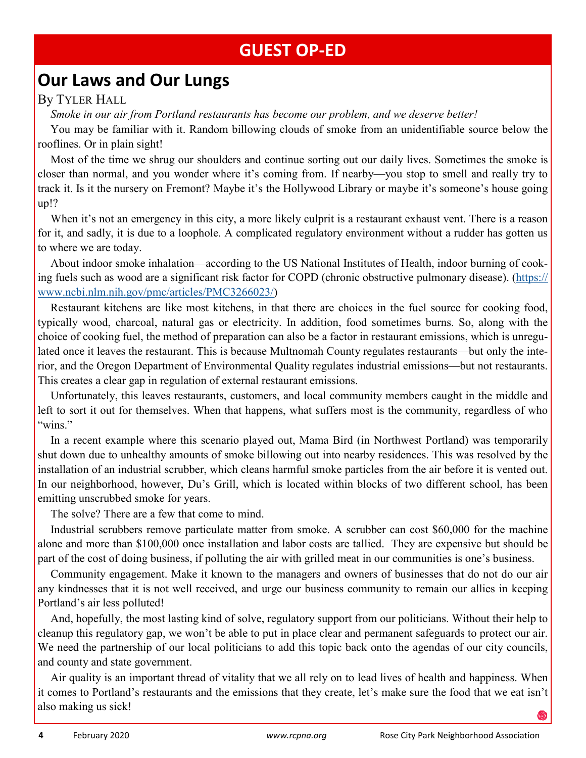### **GUEST OP-ED**

### **Our Laws and Our Lungs**

#### By TYLER HALL

*Smoke in our air from Portland restaurants has become our problem, and we deserve better!*

You may be familiar with it. Random billowing clouds of smoke from an unidentifiable source below the rooflines. Or in plain sight!

Most of the time we shrug our shoulders and continue sorting out our daily lives. Sometimes the smoke is closer than normal, and you wonder where it's coming from. If nearby—you stop to smell and really try to track it. Is it the nursery on Fremont? Maybe it's the Hollywood Library or maybe it's someone's house going up!?

When it's not an emergency in this city, a more likely culprit is a restaurant exhaust vent. There is a reason for it, and sadly, it is due to a loophole. A complicated regulatory environment without a rudder has gotten us to where we are today.

About indoor smoke inhalation—according to the US National Institutes of Health, indoor burning of cooking fuels such as wood are a significant risk factor for COPD (chronic obstructive pulmonary disease). (https:// www.ncbi.nlm.nih.gov/pmc/articles/PMC3266023/)

Restaurant kitchens are like most kitchens, in that there are choices in the fuel source for cooking food, typically wood, charcoal, natural gas or electricity. In addition, food sometimes burns. So, along with the choice of cooking fuel, the method of preparation can also be a factor in restaurant emissions, which is unregulated once it leaves the restaurant. This is because Multnomah County regulates restaurants—but only the interior, and the Oregon Department of Environmental Quality regulates industrial emissions—but not restaurants. This creates a clear gap in regulation of external restaurant emissions.

Unfortunately, this leaves restaurants, customers, and local community members caught in the middle and left to sort it out for themselves. When that happens, what suffers most is the community, regardless of who "wins"

In a recent example where this scenario played out, Mama Bird (in Northwest Portland) was temporarily shut down due to unhealthy amounts of smoke billowing out into nearby residences. This was resolved by the installation of an industrial scrubber, which cleans harmful smoke particles from the air before it is vented out. In our neighborhood, however, Du's Grill, which is located within blocks of two different school, has been emitting unscrubbed smoke for years.

The solve? There are a few that come to mind.

Industrial scrubbers remove particulate matter from smoke. A scrubber can cost \$60,000 for the machine alone and more than \$100,000 once installation and labor costs are tallied. They are expensive but should be part of the cost of doing business, if polluting the air with grilled meat in our communities is one's business.

Community engagement. Make it known to the managers and owners of businesses that do not do our air any kindnesses that it is not well received, and urge our business community to remain our allies in keeping Portland's air less polluted!

And, hopefully, the most lasting kind of solve, regulatory support from our politicians. Without their help to cleanup this regulatory gap, we won't be able to put in place clear and permanent safeguards to protect our air. We need the partnership of our local politicians to add this topic back onto the agendas of our city councils, and county and state government.

Air quality is an important thread of vitality that we all rely on to lead lives of health and happiness. When it comes to Portland's restaurants and the emissions that they create, let's make sure the food that we eat isn't also making us sick!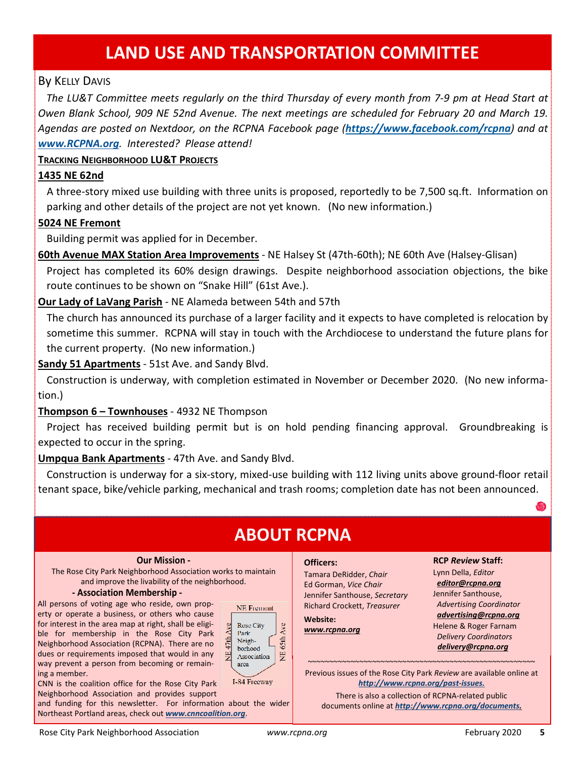### **LAND USE AND TRANSPORTATION COMMITTEE**

#### By KELLY DAVIS

*The LU&T Committee meets regularly on the third Thursday of every month from 7-9 pm at Head Start at Owen Blank School, 909 NE 52nd Avenue. The next meetings are scheduled for February 20 and March 19. Agendas are posted on Nextdoor, on the RCPNA Facebook page (https://www.facebook.com/rcpna) and at www.RCPNA.org. Interested? Please attend!* 

#### **TRACKING NEIGHBORHOOD LU&T PROJECTS**

#### **1435 NE 62nd**

A three-story mixed use building with three units is proposed, reportedly to be 7,500 sq.ft. Information on parking and other details of the project are not yet known. (No new information.)

#### **5024 NE Fremont**

Building permit was applied for in December.

**60th Avenue MAX Station Area Improvements** - NE Halsey St (47th-60th); NE 60th Ave (Halsey-Glisan) Project has completed its 60% design drawings. Despite neighborhood association objections, the bike route continues to be shown on "Snake Hill" (61st Ave.).

#### **Our Lady of LaVang Parish** - NE Alameda between 54th and 57th

The church has announced its purchase of a larger facility and it expects to have completed is relocation by sometime this summer. RCPNA will stay in touch with the Archdiocese to understand the future plans for the current property. (No new information.)

**Sandy 51 Apartments** - 51st Ave. and Sandy Blvd.

Construction is underway, with completion estimated in November or December 2020. (No new information.)

#### **Thompson 6 – Townhouses** - 4932 NE Thompson

Project has received building permit but is on hold pending financing approval. Groundbreaking is expected to occur in the spring.

#### **Umpqua Bank Apartments** - 47th Ave. and Sandy Blvd.

Construction is underway for a six-story, mixed-use building with 112 living units above ground-floor retail tenant space, bike/vehicle parking, mechanical and trash rooms; completion date has not been announced.

### **ABOUT RCPNA**

#### **Our Mission -**

The Rose City Park Neighborhood Association works to maintain and improve the livability of the neighborhood.

#### **- Association Membership -**

All persons of voting age who reside, own property or operate a business, or others who cause for interest in the area map at right, shall be eligible for membership in the Rose City Park Neighborhood Association (RCPNA). There are no dues or requirements imposed that would in any way prevent a person from becoming or remaining a member.



CNN is the coalition office for the Rose City Park Neighborhood Association and provides support

and funding for this newsletter. For information about the wider Northeast Portland areas, check out *www.cnncoalition.org*.

#### **Officers:**

Tamara DeRidder, *Chair*  Ed Gorman, *Vice Chair*  Jennifer Santhouse, *Secretary*  Richard Crockett, *Treasurer* 

**Website:** *www.rcpna.org*

#### **RCP** *Review* **Staff:**

Lynn Della, *Editor editor@rcpna.org* Jennifer Santhouse, *Advertising Coordinator advertising@rcpna.org* Helene & Roger Farnam *Delivery Coordinators delivery@rcpna.org*

~~~~~~~~~~~~~~~~~~~~~~~~~~~~~~~~~~~~~~~~~~~~~~~~~~~~~ Previous issues of the Rose City Park *Review* are available online at *http://www.rcpna.org/past-issues.*

There is also a collection of RCPNA-related public documents online at *http://www.rcpna.org/documents.*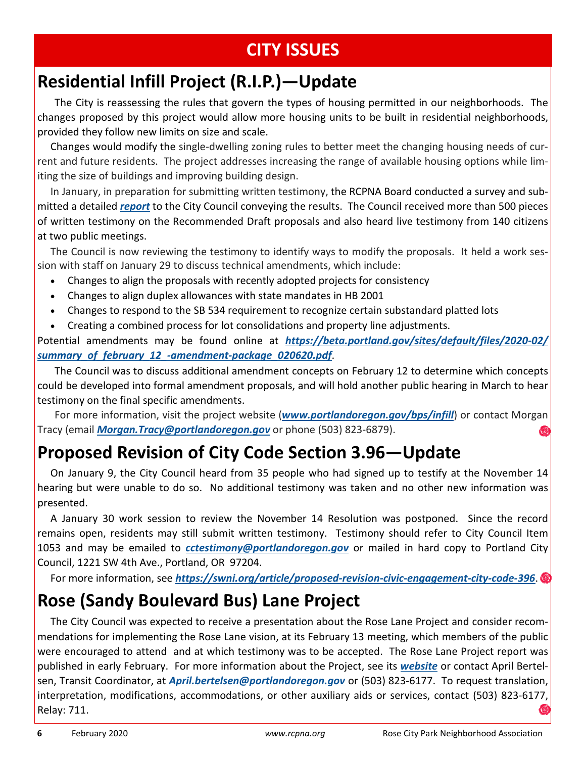# **CITY ISSUES**

# **Residential Infill Project (R.I.P.)—Update**

The City is reassessing the rules that govern the types of housing permitted in our neighborhoods. The changes proposed by this project would allow more housing units to be built in residential neighborhoods, provided they follow new limits on size and scale.

Changes would modify the single-dwelling zoning rules to better meet the changing housing needs of current and future residents. The project addresses increasing the range of available housing options while limiting the size of buildings and improving building design.

In January, in preparation for submitting written testimony, the RCPNA Board conducted a survey and submitted a detailed *report* to the City Council conveying the results. The Council received more than 500 pieces of written testimony on the Recommended Draft proposals and also heard live testimony from 140 citizens at two public meetings.

The Council is now reviewing the testimony to identify ways to modify the proposals. It held a work session with staff on January 29 to discuss technical amendments, which include:

- Changes to align the proposals with recently adopted projects for consistency
- Changes to align duplex allowances with state mandates in HB 2001
- Changes to respond to the SB 534 requirement to recognize certain substandard platted lots
- Creating a combined process for lot consolidations and property line adjustments.

Potential amendments may be found online at *https://beta.portland.gov/sites/default/files/2020-02/ summary\_of\_february\_12\_-amendment-package\_020620.pdf*.

The Council was to discuss additional amendment concepts on February 12 to determine which concepts could be developed into formal amendment proposals, and will hold another public hearing in March to hear testimony on the final specific amendments.

For more information, visit the project website (*www.portlandoregon.gov/bps/infill*) or contact Morgan Tracy (email *Morgan.Tracy@portlandoregon.gov* or phone (503) 823-6879).

# **Proposed Revision of City Code Section 3.96—Update**

On January 9, the City Council heard from 35 people who had signed up to testify at the November 14 hearing but were unable to do so. No additional testimony was taken and no other new information was presented.

A January 30 work session to review the November 14 Resolution was postponed. Since the record remains open, residents may still submit written testimony. Testimony should refer to City Council Item 1053 and may be emailed to *cctestimony@portlandoregon.gov* or mailed in hard copy to Portland City Council, 1221 SW 4th Ave., Portland, OR 97204.

For more information, see *https://swni.org/article/proposed-revision-civic-engagement-city-code-396*.

# **Rose (Sandy Boulevard Bus) Lane Project**

The City Council was expected to receive a presentation about the Rose Lane Project and consider recommendations for implementing the Rose Lane vision, at its February 13 meeting, which members of the public were encouraged to attend and at which testimony was to be accepted. The Rose Lane Project report was published in early February. For more information about the Project, see its *website* or contact April Bertelsen, Transit Coordinator, at *April.bertelsen@portlandoregon.gov* or (503) 823-6177. To request translation, interpretation, modifications, accommodations, or other auxiliary aids or services, contact (503) 823-6177, Relay: 711.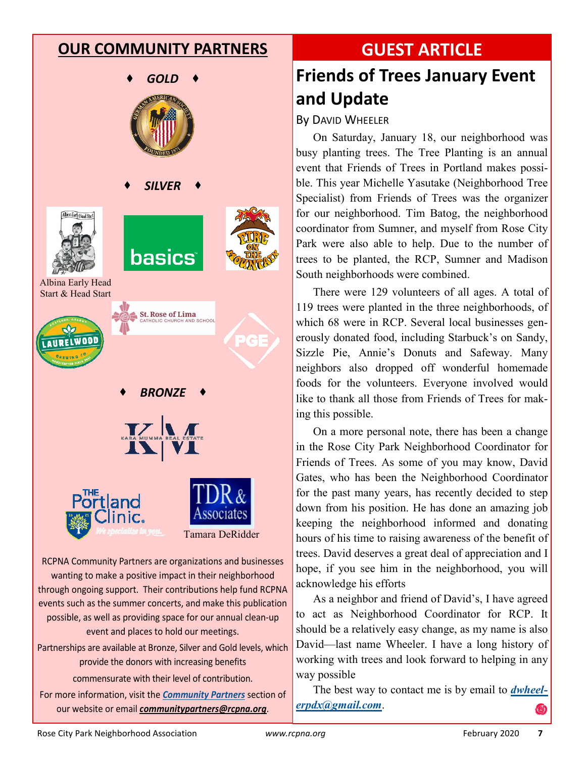#### **OUR COMMUNITY PARTNERS**



*BRONZE*





RCPNA Community Partners are organizations and businesses wanting to make a positive impact in their neighborhood through ongoing support. Their contributions help fund RCPNA events such as the summer concerts, and make this publication possible, as well as providing space for our annual clean-up event and places to hold our meetings. Partnerships are available at Bronze, Silver and Gold levels, which

provide the donors with increasing benefits commensurate with their level of contribution.

For more information, visit the *Community Partners* section of our website or email *communitypartners@rcpna.org*.

# **GUEST ARTICLE**

# **Friends of Trees January Event and Update**

By DAVID WHEELER

On Saturday, January 18, our neighborhood was busy planting trees. The Tree Planting is an annual event that Friends of Trees in Portland makes possible. This year Michelle Yasutake (Neighborhood Tree Specialist) from Friends of Trees was the organizer for our neighborhood. Tim Batog, the neighborhood coordinator from Sumner, and myself from Rose City Park were also able to help. Due to the number of trees to be planted, the RCP, Sumner and Madison South neighborhoods were combined.

There were 129 volunteers of all ages. A total of 119 trees were planted in the three neighborhoods, of which 68 were in RCP. Several local businesses generously donated food, including Starbuck's on Sandy, Sizzle Pie, Annie's Donuts and Safeway. Many neighbors also dropped off wonderful homemade foods for the volunteers. Everyone involved would like to thank all those from Friends of Trees for making this possible.

On a more personal note, there has been a change in the Rose City Park Neighborhood Coordinator for Friends of Trees. As some of you may know, David Gates, who has been the Neighborhood Coordinator for the past many years, has recently decided to step down from his position. He has done an amazing job keeping the neighborhood informed and donating hours of his time to raising awareness of the benefit of trees. David deserves a great deal of appreciation and I hope, if you see him in the neighborhood, you will acknowledge his efforts

As a neighbor and friend of David's, I have agreed to act as Neighborhood Coordinator for RCP. It should be a relatively easy change, as my name is also David—last name Wheeler. I have a long history of working with trees and look forward to helping in any way possible

The best way to contact me is by email to *dwheelerpdx@gmail.com*.